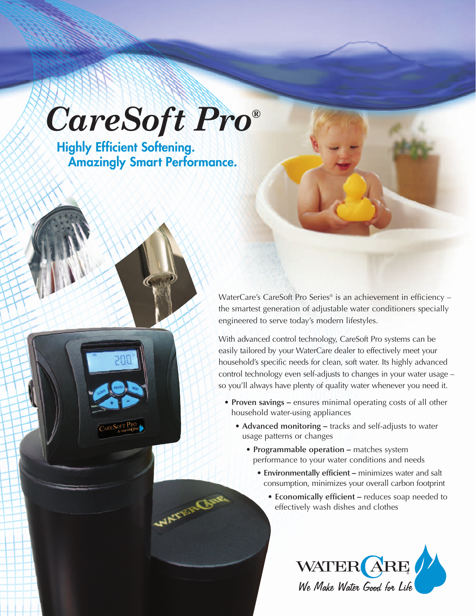# *CareSoft Pro®*

**Highly Efficient Softening. Amazingly Smart Performance.**

WATER

WaterCare's CareSoft Pro Series® is an achievement in efficiency – the smartest generation of adjustable water conditioners specially engineered to serve today's modern lifestyles.

With advanced control technology, CareSoft Pro systems can be easily tailored by your WaterCare dealer to effectively meet your household's specific needs for clean, soft water. Its highly advanced control technology even self-adjusts to changes in your water usage – so you'll always have plenty of quality water whenever you need it.

- **Proven savings –** ensures minimal operating costs of all other household water-using appliances
	- **Advanced monitoring –** tracks and self-adjusts to water usage patterns or changes
		- **Programmable operation –** matches system performance to your water conditions and needs
			- **Environmentally efficient –** minimizes water and salt consumption, minimizes your overall carbon footprint
				- **Economically efficient –** reduces soap needed to effectively wash dishes and clothes